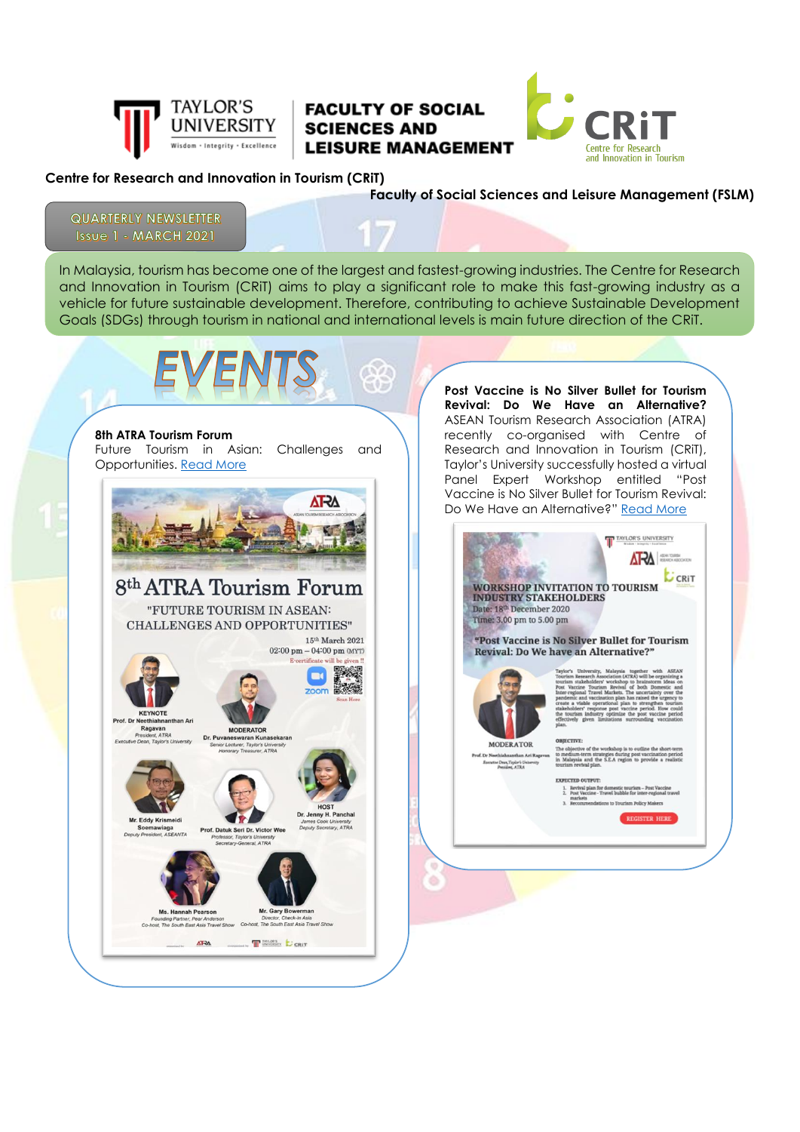

## **FACULTY OF SOCIAL SCIENCES AND LEISURE MANAGEMENT**



## **Centre for Research and Innovation in Tourism (CRiT)**

**Faculty of Social Sciences and Leisure Management (FSLM)**

**QUARTERLY NEWSLETTER Issue 1 - MARCH 2021** 

In Malaysia, tourism has become one of the largest and fastest-growing industries. The Centre for Research and Innovation in Tourism (CRiT) aims to play a significant role to make this fast-growing industry as a vehicle for future sustainable development. Therefore, contributing to achieve Sustainable Development Goals (SDGs) through tourism in national and international levels is main future direction of the CRiT.

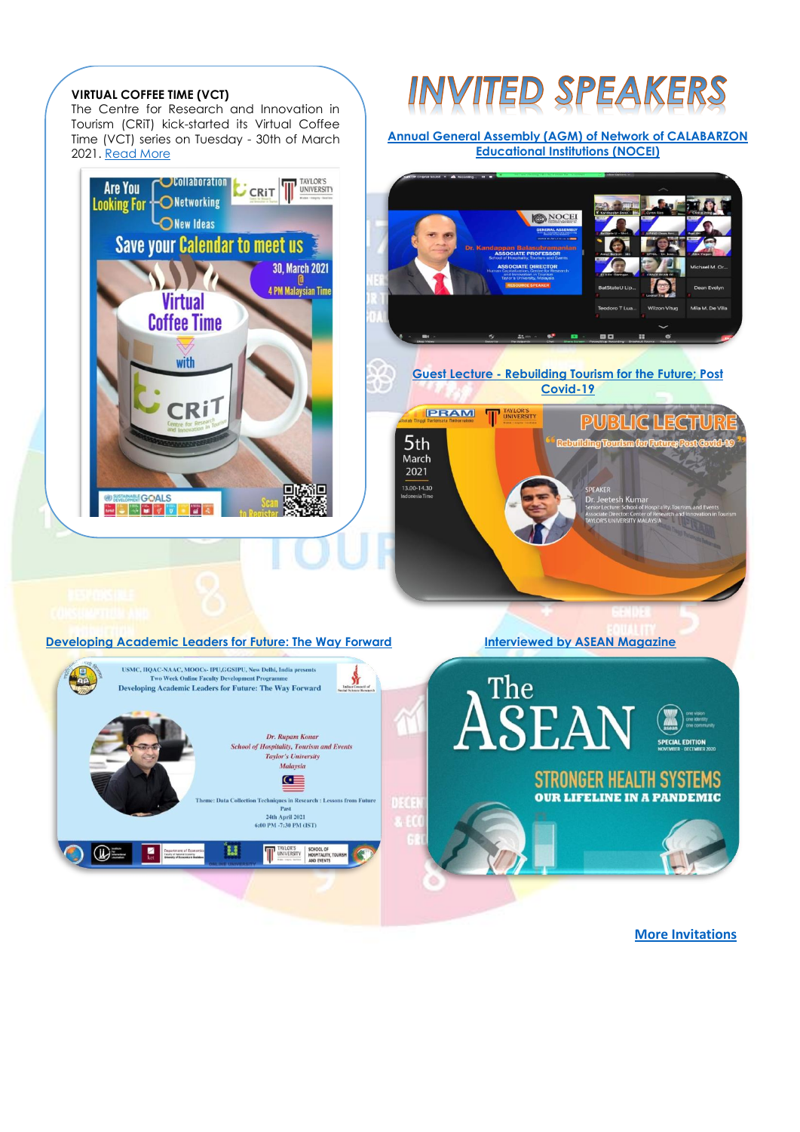

 **[More Invitations](https://docs.google.com/spreadsheets/d/1c-8G0vefbVmQ0qJc2_GMda0liMtE4A_R/edit?rtpof=true#gid=43916275)**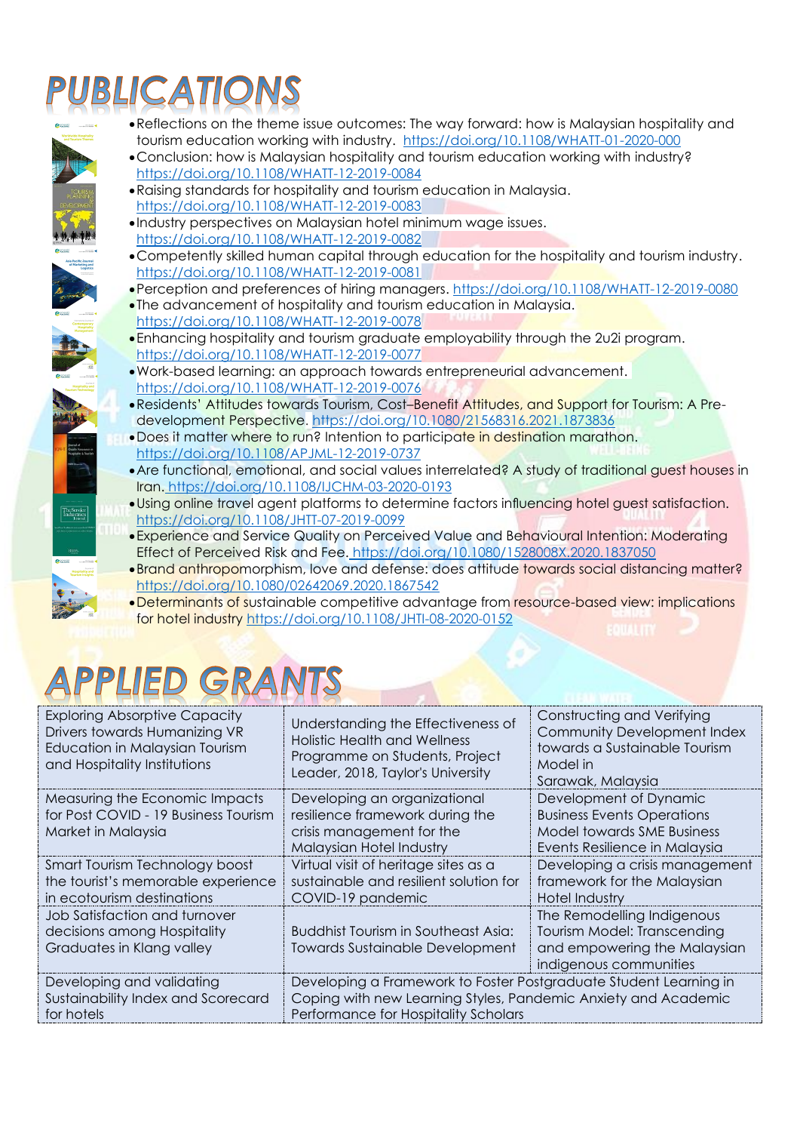## BLICATION

- •Reflections on the theme issue outcomes: The way forward: how is Malaysian hospitality and tourism education working with industry. <https://doi.org/10.1108/WHATT-01-2020-000>
- •Conclusion: how is Malaysian hospitality and tourism education working with industry? <https://doi.org/10.1108/WHATT-12-2019-0084>
- •Raising standards for hospitality and tourism education in Malaysia. <https://doi.org/10.1108/WHATT-12-2019-0083>
- •Industry perspectives on Malaysian hotel minimum wage issues. <https://doi.org/10.1108/WHATT-12-2019-0082>
- •Competently skilled human capital through education for the hospitality and tourism industry. <https://doi.org/10.1108/WHATT-12-2019-0081>
- •Perception and preferences of hiring managers.<https://doi.org/10.1108/WHATT-12-2019-0080>
- •The advancement of hospitality and tourism education in Malaysia. <https://doi.org/10.1108/WHATT-12-2019-0078>
- •Enhancing hospitality and tourism graduate employability through the 2u2i program. <https://doi.org/10.1108/WHATT-12-2019-0077>
- •Work-based learning: an approach towards entrepreneurial advancement. <https://doi.org/10.1108/WHATT-12-2019-0076>
- •Residents' Attitudes towards Tourism, Cost–Benefit Attitudes, and Support for Tourism: A Predevelopment Perspective.<https://doi.org/10.1080/21568316.2021.1873836>
- •Does it matter where to run? Intention to [participate](https://www.emerald.com/insight/content/doi/10.1108/APJML-12-2019-0737/full/html) in destination marathon. <https://doi.org/10.1108/APJML-12-2019-0737>
- •Are functional, emotional, and social values interrelated? A study of traditional guest houses in Iran. <https://doi.org/10.1108/IJCHM-03-2020-0193>
- •Using online travel agent platforms to determine factors influencing hotel guest satisfaction. <https://doi.org/10.1108/JHTT-07-2019-0099>
- •Experience and Service Quality on Perceived Value and Behavioural Intention: Moderating Effect of Perceived Risk and Fee. <https://doi.org/10.1080/1528008X.2020.1837050>
- •Brand anthropomorphism, love and defense: does attitude towards social distancing matter? <https://doi.org/10.1080/02642069.2020.1867542>
- •Determinants of sustainable competitive advantage from resource-based view: implications for hotel industry<https://doi.org/10.1108/JHTI-08-2020-0152>

## APPLIED GRANTS

| <b>Exploring Absorptive Capacity</b><br>Drivers towards Humanizing VR<br>Education in Malaysian Tourism<br>and Hospitality Institutions | Understanding the Effectiveness of<br><b>Holistic Health and Wellness</b><br>Programme on Students, Project<br>Leader, 2018, Taylor's University                            | <b>Constructing and Verifying</b><br>Community Development Index<br>towards a Sustainable Tourism<br>Model in<br>Sarawak, Malaysia |
|-----------------------------------------------------------------------------------------------------------------------------------------|-----------------------------------------------------------------------------------------------------------------------------------------------------------------------------|------------------------------------------------------------------------------------------------------------------------------------|
| Measuring the Economic Impacts<br>for Post COVID - 19 Business Tourism<br>Market in Malaysia                                            | Developing an organizational<br>resilience framework during the<br>crisis management for the<br>Malaysian Hotel Industry                                                    | Development of Dynamic<br><b>Business Events Operations</b><br><b>Model towards SME Business</b><br>Events Resilience in Malaysia  |
| Smart Tourism Technology boost<br>the tourist's memorable experience<br>in ecotourism destinations                                      | Virtual visit of heritage sites as a<br>sustainable and resilient solution for<br>COVID-19 pandemic                                                                         | Developing a crisis management<br>framework for the Malaysian<br><b>Hotel Industry</b>                                             |
| Job Satisfaction and turnover<br>decisions among Hospitality<br>Graduates in Klang valley                                               | <b>Buddhist Tourism in Southeast Asia:</b><br>Towards Sustainable Development                                                                                               | The Remodelling Indigenous<br><b>Tourism Model: Transcending</b><br>and empowering the Malaysian<br>indigenous communities         |
| Developing and validating<br>Sustainability Index and Scorecard<br>for hotels                                                           | Developing a Framework to Foster Postgraduate Student Learning in<br>Coping with new Learning Styles, Pandemic Anxiety and Academic<br>Performance for Hospitality Scholars |                                                                                                                                    |